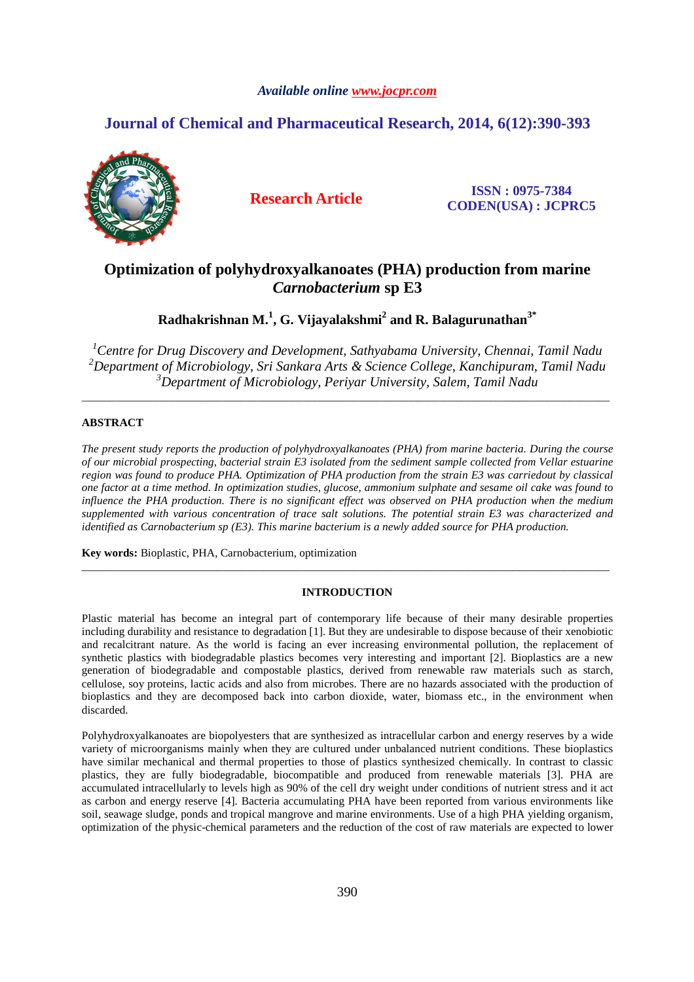# *Available online www.jocpr.com*

# **Journal of Chemical and Pharmaceutical Research, 2014, 6(12):390-393**



**Research Article ISSN : 0975-7384 CODEN(USA) : JCPRC5**

# **Optimization of polyhydroxyalkanoates (PHA) production from marine**  *Carnobacterium* **sp E3**

**Radhakrishnan M.<sup>1</sup> , G. Vijayalakshmi<sup>2</sup> and R. Balagurunathan3\***

*<sup>1</sup>Centre for Drug Discovery and Development, Sathyabama University, Chennai, Tamil Nadu <sup>2</sup>Department of Microbiology, Sri Sankara Arts & Science College, Kanchipuram, Tamil Nadu <sup>3</sup>Department of Microbiology, Periyar University, Salem, Tamil Nadu* 

\_\_\_\_\_\_\_\_\_\_\_\_\_\_\_\_\_\_\_\_\_\_\_\_\_\_\_\_\_\_\_\_\_\_\_\_\_\_\_\_\_\_\_\_\_\_\_\_\_\_\_\_\_\_\_\_\_\_\_\_\_\_\_\_\_\_\_\_\_\_\_\_\_\_\_\_\_\_\_\_\_\_\_\_\_\_\_\_\_\_\_\_\_

# **ABSTRACT**

*The present study reports the production of polyhydroxyalkanoates (PHA) from marine bacteria. During the course of our microbial prospecting, bacterial strain E3 isolated from the sediment sample collected from Vellar estuarine region was found to produce PHA. Optimization of PHA production from the strain E3 was carriedout by classical one factor at a time method. In optimization studies, glucose, ammonium sulphate and sesame oil cake was found to influence the PHA production. There is no significant effect was observed on PHA production when the medium supplemented with various concentration of trace salt solutions. The potential strain E3 was characterized and identified as Carnobacterium sp (E3). This marine bacterium is a newly added source for PHA production.* 

**Key words:** Bioplastic, PHA, Carnobacterium, optimization

## **INTRODUCTION**

\_\_\_\_\_\_\_\_\_\_\_\_\_\_\_\_\_\_\_\_\_\_\_\_\_\_\_\_\_\_\_\_\_\_\_\_\_\_\_\_\_\_\_\_\_\_\_\_\_\_\_\_\_\_\_\_\_\_\_\_\_\_\_\_\_\_\_\_\_\_\_\_\_\_\_\_\_\_\_\_\_\_\_\_\_\_\_\_\_\_\_\_\_

Plastic material has become an integral part of contemporary life because of their many desirable properties including durability and resistance to degradation [1]. But they are undesirable to dispose because of their xenobiotic and recalcitrant nature. As the world is facing an ever increasing environmental pollution, the replacement of synthetic plastics with biodegradable plastics becomes very interesting and important [2]. Bioplastics are a new generation of biodegradable and compostable plastics, derived from renewable raw materials such as starch, cellulose, soy proteins, lactic acids and also from microbes. There are no hazards associated with the production of bioplastics and they are decomposed back into carbon dioxide, water, biomass etc., in the environment when discarded.

Polyhydroxyalkanoates are biopolyesters that are synthesized as intracellular carbon and energy reserves by a wide variety of microorganisms mainly when they are cultured under unbalanced nutrient conditions. These bioplastics have similar mechanical and thermal properties to those of plastics synthesized chemically. In contrast to classic plastics, they are fully biodegradable, biocompatible and produced from renewable materials [3]. PHA are accumulated intracellularly to levels high as 90% of the cell dry weight under conditions of nutrient stress and it act as carbon and energy reserve [4]. Bacteria accumulating PHA have been reported from various environments like soil, seawage sludge, ponds and tropical mangrove and marine environments. Use of a high PHA yielding organism, optimization of the physic-chemical parameters and the reduction of the cost of raw materials are expected to lower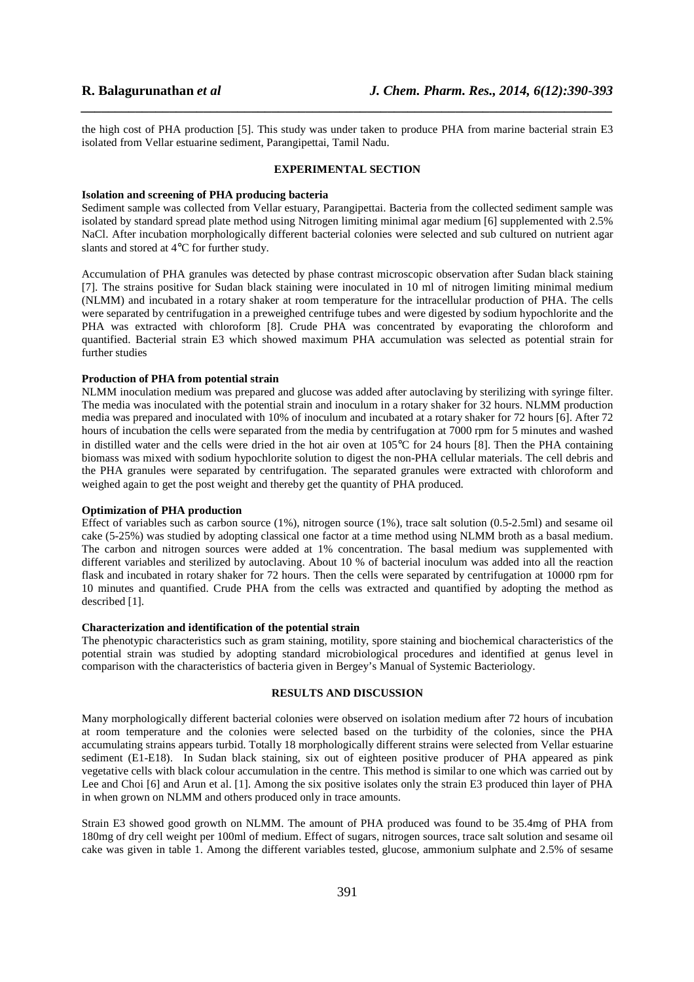the high cost of PHA production [5]. This study was under taken to produce PHA from marine bacterial strain E3 isolated from Vellar estuarine sediment, Parangipettai, Tamil Nadu.

*\_\_\_\_\_\_\_\_\_\_\_\_\_\_\_\_\_\_\_\_\_\_\_\_\_\_\_\_\_\_\_\_\_\_\_\_\_\_\_\_\_\_\_\_\_\_\_\_\_\_\_\_\_\_\_\_\_\_\_\_\_\_\_\_\_\_\_\_\_\_\_\_\_\_\_\_\_\_*

#### **EXPERIMENTAL SECTION**

#### **Isolation and screening of PHA producing bacteria**

Sediment sample was collected from Vellar estuary, Parangipettai. Bacteria from the collected sediment sample was isolated by standard spread plate method using Nitrogen limiting minimal agar medium [6] supplemented with 2.5% NaCl. After incubation morphologically different bacterial colonies were selected and sub cultured on nutrient agar slants and stored at 4°C for further study.

Accumulation of PHA granules was detected by phase contrast microscopic observation after Sudan black staining [7]. The strains positive for Sudan black staining were inoculated in 10 ml of nitrogen limiting minimal medium (NLMM) and incubated in a rotary shaker at room temperature for the intracellular production of PHA. The cells were separated by centrifugation in a preweighed centrifuge tubes and were digested by sodium hypochlorite and the PHA was extracted with chloroform [8]. Crude PHA was concentrated by evaporating the chloroform and quantified. Bacterial strain E3 which showed maximum PHA accumulation was selected as potential strain for further studies

#### **Production of PHA from potential strain**

NLMM inoculation medium was prepared and glucose was added after autoclaving by sterilizing with syringe filter. The media was inoculated with the potential strain and inoculum in a rotary shaker for 32 hours. NLMM production media was prepared and inoculated with 10% of inoculum and incubated at a rotary shaker for 72 hours [6]. After 72 hours of incubation the cells were separated from the media by centrifugation at 7000 rpm for 5 minutes and washed in distilled water and the cells were dried in the hot air oven at 105°C for 24 hours [8]. Then the PHA containing biomass was mixed with sodium hypochlorite solution to digest the non-PHA cellular materials. The cell debris and the PHA granules were separated by centrifugation. The separated granules were extracted with chloroform and weighed again to get the post weight and thereby get the quantity of PHA produced.

### **Optimization of PHA production**

Effect of variables such as carbon source (1%), nitrogen source (1%), trace salt solution (0.5-2.5ml) and sesame oil cake (5-25%) was studied by adopting classical one factor at a time method using NLMM broth as a basal medium. The carbon and nitrogen sources were added at 1% concentration. The basal medium was supplemented with different variables and sterilized by autoclaving. About 10 % of bacterial inoculum was added into all the reaction flask and incubated in rotary shaker for 72 hours. Then the cells were separated by centrifugation at 10000 rpm for 10 minutes and quantified. Crude PHA from the cells was extracted and quantified by adopting the method as described [1].

#### **Characterization and identification of the potential strain**

The phenotypic characteristics such as gram staining, motility, spore staining and biochemical characteristics of the potential strain was studied by adopting standard microbiological procedures and identified at genus level in comparison with the characteristics of bacteria given in Bergey's Manual of Systemic Bacteriology.

### **RESULTS AND DISCUSSION**

Many morphologically different bacterial colonies were observed on isolation medium after 72 hours of incubation at room temperature and the colonies were selected based on the turbidity of the colonies, since the PHA accumulating strains appears turbid. Totally 18 morphologically different strains were selected from Vellar estuarine sediment (E1-E18). In Sudan black staining, six out of eighteen positive producer of PHA appeared as pink vegetative cells with black colour accumulation in the centre. This method is similar to one which was carried out by Lee and Choi [6] and Arun et al. [1]. Among the six positive isolates only the strain E3 produced thin layer of PHA in when grown on NLMM and others produced only in trace amounts.

Strain E3 showed good growth on NLMM. The amount of PHA produced was found to be 35.4mg of PHA from 180mg of dry cell weight per 100ml of medium. Effect of sugars, nitrogen sources, trace salt solution and sesame oil cake was given in table 1. Among the different variables tested, glucose, ammonium sulphate and 2.5% of sesame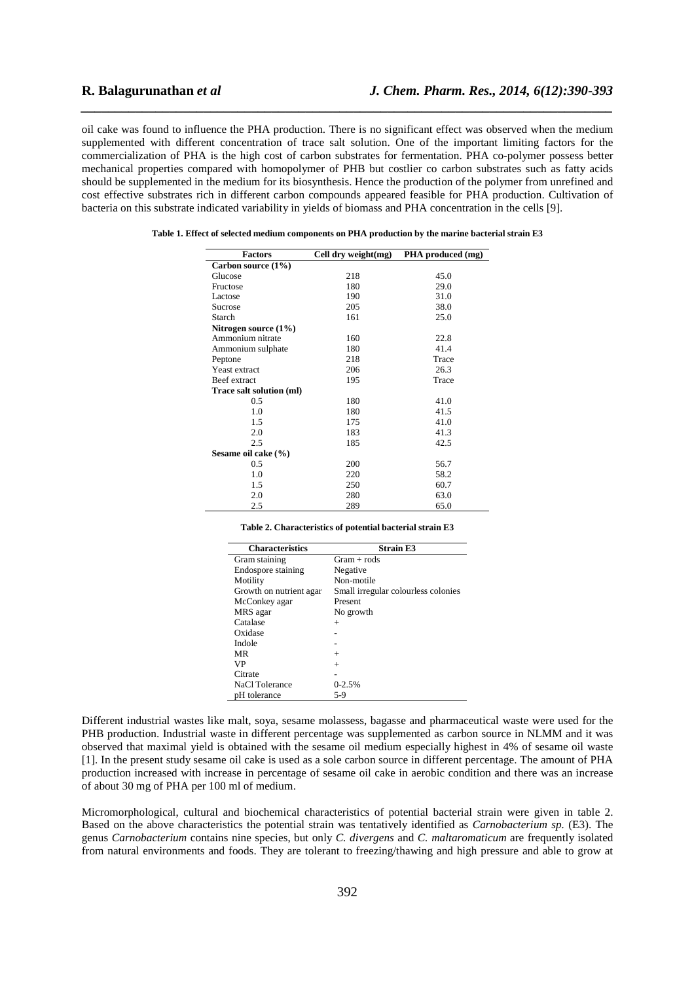oil cake was found to influence the PHA production. There is no significant effect was observed when the medium supplemented with different concentration of trace salt solution. One of the important limiting factors for the commercialization of PHA is the high cost of carbon substrates for fermentation. PHA co-polymer possess better mechanical properties compared with homopolymer of PHB but costlier co carbon substrates such as fatty acids should be supplemented in the medium for its biosynthesis. Hence the production of the polymer from unrefined and cost effective substrates rich in different carbon compounds appeared feasible for PHA production. Cultivation of bacteria on this substrate indicated variability in yields of biomass and PHA concentration in the cells [9].

*\_\_\_\_\_\_\_\_\_\_\_\_\_\_\_\_\_\_\_\_\_\_\_\_\_\_\_\_\_\_\_\_\_\_\_\_\_\_\_\_\_\_\_\_\_\_\_\_\_\_\_\_\_\_\_\_\_\_\_\_\_\_\_\_\_\_\_\_\_\_\_\_\_\_\_\_\_\_*

| Factors                  | Cell dry weight(mg) | PHA produced (mg) |  |
|--------------------------|---------------------|-------------------|--|
| Carbon source (1%)       |                     |                   |  |
| Glucose                  | 218                 | 45.0              |  |
| Fructose                 | 180                 | 29.0              |  |
| Lactose                  | 190                 | 31.0              |  |
| <b>Sucrose</b>           | 205                 | 38.0              |  |
| Starch                   | 161                 | 25.0              |  |
| Nitrogen source $(1\%)$  |                     |                   |  |
| Ammonium nitrate         | 160                 | 22.8              |  |
| Ammonium sulphate        | 180                 | 41.4              |  |
| Peptone                  | 218                 | Trace             |  |
| Yeast extract            | 206                 | 26.3              |  |
| Beef extract             | 195                 | Trace             |  |
| Trace salt solution (ml) |                     |                   |  |
| 0.5                      | 180                 | 41.0              |  |
| 1.0                      | 180                 | 41.5              |  |
| 1.5                      | 175                 | 41.0              |  |
| 2.0                      | 183                 | 41.3              |  |
| 2.5                      | 185                 | 42.5              |  |
| Sesame oil cake (%)      |                     |                   |  |
| 0.5                      | 200                 | 56.7              |  |
| 1.0                      | 220                 | 58.2              |  |
| 1.5                      | 250                 | 60.7              |  |
| 2.0                      | 280                 | 63.0              |  |
| 2.5                      | 289                 | 65.0              |  |

**Table 1. Effect of selected medium components on PHA production by the marine bacterial strain E3** 

|  | Table 2. Characteristics of potential bacterial strain E3 |  |  |  |  |
|--|-----------------------------------------------------------|--|--|--|--|
|--|-----------------------------------------------------------|--|--|--|--|

| <b>Characteristics</b>  | <b>Strain E3</b>                    |
|-------------------------|-------------------------------------|
| Gram staining           | $Gram + rods$                       |
| Endospore staining      | Negative                            |
| Motility                | Non-motile                          |
| Growth on nutrient agar | Small irregular colourless colonies |
| McConkey agar           | Present                             |
| MRS agar                | No growth                           |
| Catalase                | $^{+}$                              |
| Oxidase                 |                                     |
| Indole                  |                                     |
| MR                      | $^{+}$                              |
| VP                      | $^{+}$                              |
| Citrate                 |                                     |
| NaCl Tolerance          | $0 - 2.5%$                          |
| pH tolerance            | 5-9                                 |
|                         |                                     |

Different industrial wastes like malt, soya, sesame molassess, bagasse and pharmaceutical waste were used for the PHB production. Industrial waste in different percentage was supplemented as carbon source in NLMM and it was observed that maximal yield is obtained with the sesame oil medium especially highest in 4% of sesame oil waste [1]. In the present study sesame oil cake is used as a sole carbon source in different percentage. The amount of PHA production increased with increase in percentage of sesame oil cake in aerobic condition and there was an increase of about 30 mg of PHA per 100 ml of medium.

Micromorphological, cultural and biochemical characteristics of potential bacterial strain were given in table 2. Based on the above characteristics the potential strain was tentatively identified as *Carnobacterium sp.* (E3). The genus *Carnobacterium* contains nine species, but only *C. divergens* and *C. maltaromaticum* are frequently isolated from natural environments and foods. They are tolerant to freezing/thawing and high pressure and able to grow at